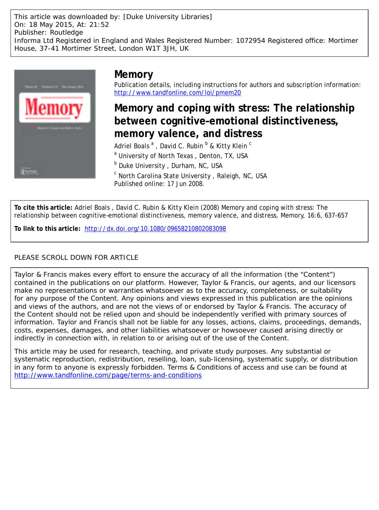This article was downloaded by: [Duke University Libraries] On: 18 May 2015, At: 21:52 Publisher: Routledge Informa Ltd Registered in England and Wales Registered Number: 1072954 Registered office: Mortimer House, 37-41 Mortimer Street, London W1T 3JH, UK



## **Memory**

Publication details, including instructions for authors and subscription information: <http://www.tandfonline.com/loi/pmem20>

# **Memory and coping with stress: The relationship between cognitive–emotional distinctiveness, memory valence, and distress**

Adriel Boals  $^{\mathrm{a}}$  , David C. Rubin  $^{\mathrm{b}}$  & Kitty Klein  $^{\mathrm{c}}$ 

<sup>a</sup> University of North Texas, Denton, TX, USA

<sup>b</sup> Duke University , Durham, NC, USA

 $\textdegree$  North Carolina State University, Raleigh, NC, USA Published online: 17 Jun 2008.

**To cite this article:** Adriel Boals , David C. Rubin & Kitty Klein (2008) Memory and coping with stress: The relationship between cognitive–emotional distinctiveness, memory valence, and distress, Memory, 16:6, 637-657

**To link to this article:** <http://dx.doi.org/10.1080/09658210802083098>

## PLEASE SCROLL DOWN FOR ARTICLE

Taylor & Francis makes every effort to ensure the accuracy of all the information (the "Content") contained in the publications on our platform. However, Taylor & Francis, our agents, and our licensors make no representations or warranties whatsoever as to the accuracy, completeness, or suitability for any purpose of the Content. Any opinions and views expressed in this publication are the opinions and views of the authors, and are not the views of or endorsed by Taylor & Francis. The accuracy of the Content should not be relied upon and should be independently verified with primary sources of information. Taylor and Francis shall not be liable for any losses, actions, claims, proceedings, demands, costs, expenses, damages, and other liabilities whatsoever or howsoever caused arising directly or indirectly in connection with, in relation to or arising out of the use of the Content.

This article may be used for research, teaching, and private study purposes. Any substantial or systematic reproduction, redistribution, reselling, loan, sub-licensing, systematic supply, or distribution in any form to anyone is expressly forbidden. Terms & Conditions of access and use can be found at <http://www.tandfonline.com/page/terms-and-conditions>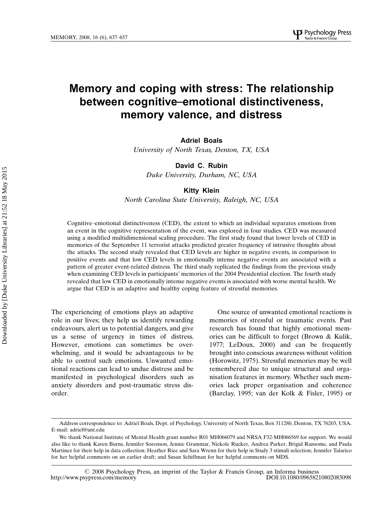# Memory and coping with stress: The relationship between cognitive-emotional distinctiveness, memory valence, and distress

## Adriel Boals

University of North Texas, Denton, TX, USA

David C. Rubin Duke University, Durham, NC, USA

## Kitty Klein

North Carolina State University, Raleigh, NC, USA

Cognitive–emotional distinctiveness (CED), the extent to which an individual separates emotions from an event in the cognitive representation of the event, was explored in four studies. CED was measured using a modified multidimensional scaling procedure. The first study found that lower levels of CED in memories of the September 11 terrorist attacks predicted greater frequency of intrusive thoughts about the attacks. The second study revealed that CED levels are higher in negative events, in comparison to positive events and that low CED levels in emotionally intense negative events are associated with a pattern of greater event-related distress. The third study replicated the findings from the previous study when examining CED levels in participants' memories of the 2004 Presidential election. The fourth study revealed that low CED in emotionally intense negative events is associated with worse mental health. We argue that CED is an adaptive and healthy coping feature of stressful memories.

The experiencing of emotions plays an adaptive role in our lives; they help us identify rewarding endeavours, alert us to potential dangers, and give us a sense of urgency in times of distress. However, emotions can sometimes be overwhelming, and it would be advantageous to be able to control such emotions. Unwanted emotional reactions can lead to undue distress and be manifested in psychological disorders such as anxiety disorders and post-traumatic stress disorder.

One source of unwanted emotional reactions is memories of stressful or traumatic events. Past research has found that highly emotional memories can be difficult to forget (Brown & Kulik, 1977; LeDoux, 2000) and can be frequently brought into conscious awareness without volition (Horowitz, 1975). Stressful memories may be well remembered due to unique structural and organisation features in memory. Whether such memories lack proper organisation and coherence (Barclay, 1995; van der Kolk & Fisler, 1995) or

Address correspondence to: Adriel Boals, Dept. of Psychology, University of North Texas, Box 311280, Denton, TX 76203, USA. E-mail: adriel@unt.edu

We thank National Institute of Mental Health grant number R01 MH066079 and NRSA F32-MH066569 for support. We would also like to thank Karen Burns, Jennifer Sorenson, Jennie Grammar, Nickole Rucker, Andrea Parker, Brigid Ransome, and Paula Martinez for their help in data collection; Heather Rice and Sara Wrenn for their help in Study 3 stimuli selection; Jennifer Talarico for her helpful comments on an earlier draft; and Susan Schiffman for her helpful comments on MDS.

 $\degree$  2008 Psychology Press, an imprint of the Taylor & Francis Group, an Informa business<br>sypress.com/memory DOI:10.1080/09658210802083098 http://www.psypress.com/memory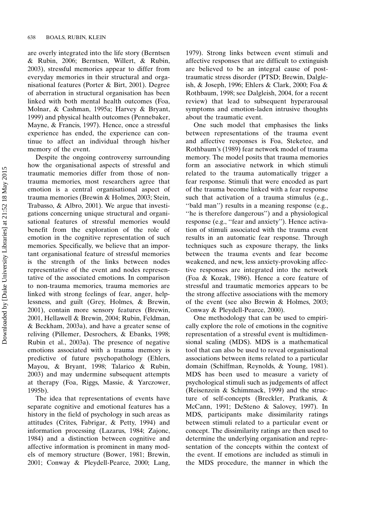are overly integrated into the life story (Berntsen & Rubin, 2006; Berntsen, Willert, & Rubin, 2003), stressful memories appear to differ from everyday memories in their structural and organisational features (Porter & Birt, 2001). Degree of aberration in structural organisation has been linked with both mental health outcomes (Foa, Molnar, & Cashman, 1995a; Harvey & Bryant, 1999) and physical health outcomes (Pennebaker, Mayne, & Francis, 1997). Hence, once a stressful experience has ended, the experience can continue to affect an individual through his/her memory of the event.

Despite the ongoing controversy surrounding how the organisational aspects of stressful and traumatic memories differ from those of nontrauma memories, most researchers agree that emotion is a central organisational aspect of trauma memories (Brewin & Holmes, 2003; Stein, Trabasso, & Albro, 2001). We argue that investigations concerning unique structural and organisational features of stressful memories would benefit from the exploration of the role of emotion in the cognitive representation of such memories. Specifically, we believe that an important organisational feature of stressful memories is the strength of the links between nodes representative of the event and nodes representative of the associated emotions. In comparison to non-trauma memories, trauma memories are linked with strong feelings of fear, anger, helplessness, and guilt (Grey, Holmes, & Brewin, 2001), contain more sensory features (Brewin, 2001, Hellawell & Brewin, 2004; Rubin, Feldman, & Beckham, 2003a), and have a greater sense of reliving (Pillemer, Desrochers, & Ebanks, 1998; Rubin et al., 2003a). The presence of negative emotions associated with a trauma memory is predictive of future psychopathology (Ehlers, Mayou, & Bryant, 1998; Talarico & Rubin, 2003) and may undermine subsequent attempts at therapy (Foa, Riggs, Massie, & Yarczower, 1995b).

The idea that representations of events have separate cognitive and emotional features has a history in the field of psychology in such areas as attitudes (Crites, Fabrigar, & Petty, 1994) and information processing (Lazarus, 1984; Zajonc, 1984) and a distinction between cognitive and affective information is prominent in many models of memory structure (Bower, 1981; Brewin, 2001; Conway & Pleydell-Pearce, 2000; Lang, 1979). Strong links between event stimuli and affective responses that are difficult to extinguish are believed to be an integral cause of posttraumatic stress disorder (PTSD; Brewin, Dalgleish, & Joseph, 1996; Ehlers & Clark, 2000; Foa & Rothbaum, 1998; see Dalgleish, 2004, for a recent review) that lead to subsequent hyperarousal symptoms and emotion-laden intrusive thoughts about the traumatic event.

One such model that emphasises the links between representations of the trauma event and affective responses is Foa, Steketee, and Rothbaum's (1989) fear network model of trauma memory. The model posits that trauma memories form an associative network in which stimuli related to the trauma automatically trigger a fear response. Stimuli that were encoded as part of the trauma become linked with a fear response such that activation of a trauma stimulus (e.g., ''bald man'') results in a meaning response (e.g., ''he is therefore dangerous'') and a physiological response (e.g., ''fear and anxiety''). Hence activation of stimuli associated with the trauma event results in an automatic fear response. Through techniques such as exposure therapy, the links between the trauma events and fear become weakened, and new, less anxiety-provoking affective responses are integrated into the network (Foa & Kozak, 1986). Hence a core feature of stressful and traumatic memories appears to be the strong affective associations with the memory of the event (see also Brewin & Holmes, 2003; Conway & Pleydell-Pearce, 2000).

One methodology that can be used to empirically explore the role of emotions in the cognitive representation of a stressful event is multidimensional scaling (MDS). MDS is a mathematical tool that can also be used to reveal organisational associations between items related to a particular domain (Schiffman, Reynolds, & Young, 1981). MDS has been used to measure a variety of psychological stimuli such as judgements of affect (Reisenzein & Schimmack, 1999) and the structure of self-concepts (Breckler, Pratkanis, & McCann, 1991; DeSteno & Salovey, 1997). In MDS, participants make dissimilarity ratings between stimuli related to a particular event or concept. The dissimilarity ratings are then used to determine the underlying organisation and representation of the concepts within the context of the event. If emotions are included as stimuli in the MDS procedure, the manner in which the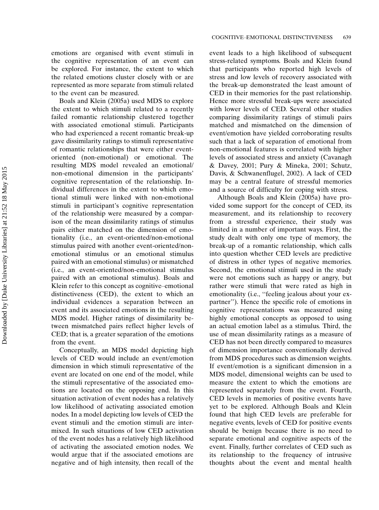emotions are organised with event stimuli in the cognitive representation of an event can be explored. For instance, the extent to which the related emotions cluster closely with or are represented as more separate from stimuli related to the event can be measured.

Boals and Klein (2005a) used MDS to explore the extent to which stimuli related to a recently failed romantic relationship clustered together with associated emotional stimuli. Participants who had experienced a recent romantic break-up gave dissimilarity ratings to stimuli representative of romantic relationships that were either eventoriented (non-emotional) or emotional. The resulting MDS model revealed an emotional/ non-emotional dimension in the participants' cognitive representation of the relationship. Individual differences in the extent to which emotional stimuli were linked with non-emotional stimuli in participant's cognitive representation of the relationship were measured by a comparison of the mean dissimilarity ratings of stimulus pairs either matched on the dimension of emotionality (i.e., an event-oriented/non-emotional stimulus paired with another event-oriented/nonemotional stimulus or an emotional stimulus paired with an emotional stimulus) or mismatched (i.e., an event-oriented/non-emotional stimulus paired with an emotional stimulus). Boals and Klein refer to this concept as cognitive–emotional distinctiveness (CED), the extent to which an individual evidences a separation between an event and its associated emotions in the resulting MDS model. Higher ratings of dissimilarity between mismatched pairs reflect higher levels of CED; that is, a greater separation of the emotions from the event.

Conceptually, an MDS model depicting high levels of CED would include an event/emotion dimension in which stimuli representative of the event are located on one end of the model, while the stimuli representative of the associated emotions are located on the opposing end. In this situation activation of event nodes has a relatively low likelihood of activating associated emotion nodes. In a model depicting low levels of CED the event stimuli and the emotion stimuli are intermixed. In such situations of low CED activation of the event nodes has a relatively high likelihood of activating the associated emotion nodes. We would argue that if the associated emotions are negative and of high intensity, then recall of the

event leads to a high likelihood of subsequent stress-related symptoms. Boals and Klein found that participants who reported high levels of stress and low levels of recovery associated with the break-up demonstrated the least amount of CED in their memories for the past relationship. Hence more stressful break-ups were associated with lower levels of CED. Several other studies comparing dissimilarity ratings of stimuli pairs matched and mismatched on the dimension of event/emotion have yielded corroborating results such that a lack of separation of emotional from non-emotional features is correlated with higher levels of associated stress and anxiety (Cavanagh & Davey, 2001; Pury & Mineka, 2001; Schutz, Davis, & Schwanenflugel, 2002). A lack of CED may be a central feature of stressful memories and a source of difficulty for coping with stress.

Although Boals and Klein (2005a) have provided some support for the concept of CED, its measurement, and its relationship to recovery from a stressful experience, their study was limited in a number of important ways. First, the study dealt with only one type of memory, the break-up of a romantic relationship, which calls into question whether CED levels are predictive of distress in other types of negative memories. Second, the emotional stimuli used in the study were not emotions such as happy or angry, but rather were stimuli that were rated as high in emotionality (i.e., ''feeling jealous about your expartner''). Hence the specific role of emotions in cognitive representations was measured using highly emotional concepts as opposed to using an actual emotion label as a stimulus. Third, the use of mean dissimilarity ratings as a measure of CED has not been directly compared to measures of dimension importance conventionally derived from MDS procedures such as dimension weights. If event/emotion is a significant dimension in a MDS model, dimensional weights can be used to measure the extent to which the emotions are represented separately from the event. Fourth, CED levels in memories of positive events have yet to be explored. Although Boals and Klein found that high CED levels are preferable for negative events, levels of CED for positive events should be benign because there is no need to separate emotional and cognitive aspects of the event. Finally, further correlates of CED such as its relationship to the frequency of intrusive thoughts about the event and mental health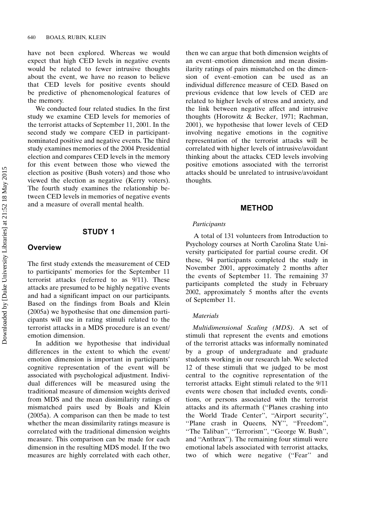have not been explored. Whereas we would expect that high CED levels in negative events would be related to fewer intrusive thoughts about the event, we have no reason to believe that CED levels for positive events should be predictive of phenomenological features of the memory.

We conducted four related studies. In the first study we examine CED levels for memories of the terrorist attacks of September 11, 2001. In the second study we compare CED in participantnominated positive and negative events. The third study examines memories of the 2004 Presidential election and compares CED levels in the memory for this event between those who viewed the election as positive (Bush voters) and those who viewed the election as negative (Kerry voters). The fourth study examines the relationship between CED levels in memories of negative events and a measure of overall mental health.

## STUDY 1

## **Overview**

The first study extends the measurement of CED to participants' memories for the September 11 terrorist attacks (referred to as 9/11). These attacks are presumed to be highly negative events and had a significant impact on our participants. Based on the findings from Boals and Klein (2005a) we hypothesise that one dimension participants will use in rating stimuli related to the terrorist attacks in a MDS procedure is an event/ emotion dimension.

In addition we hypothesise that individual differences in the extent to which the event/ emotion dimension is important in participants' cognitive representation of the event will be associated with psychological adjustment. Individual differences will be measured using the traditional measure of dimension weights derived from MDS and the mean dissimilarity ratings of mismatched pairs used by Boals and Klein (2005a). A comparison can then be made to test whether the mean dissimilarity ratings measure is correlated with the traditional dimension weights measure. This comparison can be made for each dimension in the resulting MDS model. If the two measures are highly correlated with each other, then we can argue that both dimension weights of an event-emotion dimension and mean dissimilarity ratings of pairs mismatched on the dimension of event-emotion can be used as an individual difference measure of CED. Based on previous evidence that low levels of CED are related to higher levels of stress and anxiety, and the link between negative affect and intrusive thoughts (Horowitz & Becker, 1971; Rachman, 2001), we hypothesise that lower levels of CED involving negative emotions in the cognitive representation of the terrorist attacks will be correlated with higher levels of intrusive/avoidant thinking about the attacks. CED levels involving positive emotions associated with the terrorist attacks should be unrelated to intrusive/avoidant thoughts.

## METHOD

#### Participants

A total of 131 volunteers from Introduction to Psychology courses at North Carolina State University participated for partial course credit. Of these, 94 participants completed the study in November 2001, approximately 2 months after the events of September 11. The remaining 37 participants completed the study in February 2002, approximately 5 months after the events of September 11.

#### Materials

Multidimensional Scaling (MDS). A set of stimuli that represent the events and emotions of the terrorist attacks was informally nominated by a group of undergraduate and graduate students working in our research lab. We selected 12 of these stimuli that we judged to be most central to the cognitive representation of the terrorist attacks. Eight stimuli related to the 9/11 events were chosen that included events, conditions, or persons associated with the terrorist attacks and its aftermath (''Planes crashing into the World Trade Center'', ''Airport security'', ''Plane crash in Queens, NY'', ''Freedom'', ''The Taliban'', ''Terrorism'', ''George W. Bush'', and ''Anthrax''). The remaining four stimuli were emotional labels associated with terrorist attacks, two of which were negative ("Fear" and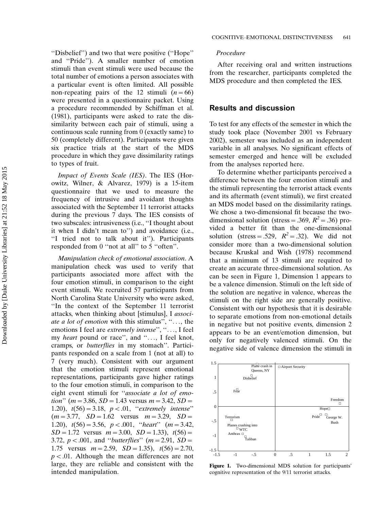''Disbelief'') and two that were positive (''Hope'' and ''Pride''). A smaller number of emotion stimuli than event stimuli were used because the total number of emotions a person associates with a particular event is often limited. All possible non-repeating pairs of the 12 stimuli  $(n=66)$ were presented in a questionnaire packet. Using a procedure recommended by Schiffman et al. (1981), participants were asked to rate the dissimilarity between each pair of stimuli, using a continuous scale running from 0 (exactly same) to 50 (completely different). Participants were given six practice trials at the start of the MDS procedure in which they gave dissimilarity ratings to types of fruit. Impact of Events Scale (IES). The IES (Hor-

owitz, Wilner, & Alvarez, 1979) is a 15-item questionnaire that we used to measure the frequency of intrusive and avoidant thoughts associated with the September 11 terrorist attacks during the previous 7 days. The IES consists of two subscales: intrusiveness (i.e., ''I thought about it when I didn't mean to'') and avoidance (i.e., ''I tried not to talk about it''). Participants responded from 0 "not at all" to 5 "often".

Manipulation check of emotional association. A manipulation check was used to verify that participants associated more affect with the four emotion stimuli, in comparison to the eight event stimuli. We recruited 57 participants from North Carolina State University who were asked, ''In the context of the September 11 terrorist attacks, when thinking about [stimulus], I associate a lot of emotion with this stimulus'', ''..., the emotions I feel are *extremely intense*", "..., I feel my *heart* pound or race", and "..., I feel knot, cramps, or butterflies in my stomach''. Participants responded on a scale from 1 (not at all) to 7 (very much). Consistent with our argument that the emotion stimuli represent emotional representations, participants gave higher ratings to the four emotion stimuli, in comparison to the eight event stimuli for "associate a lot of emo*tion*" (*m* = 3.86, *SD* = 1.43 versus *m* = 3.42, *SD* = 1.20),  $t(56) = 3.18$ ,  $p < .01$ , "extremely intense"  $(m = 3.77, SD = 1.62 \text{ versus } m = 3.29, SD =$ 1.20),  $t(56) = 3.56$ ,  $p < .001$ , "heart" (m = 3.42,  $SD = 1.72$  versus  $m = 3.00$ ,  $SD = 1.33$ ),  $t(56) =$ 3.72,  $p < .001$ , and "butterflies" (m = 2.91, SD = 1.75 versus  $m = 2.59$ ,  $SD = 1.35$ ),  $t(56) = 2.70$ ,  $p < .01$ . Although the mean differences are not large, they are reliable and consistent with the intended manipulation.

#### Procedure

After receiving oral and written instructions from the researcher, participants completed the MDS procedure and then completed the IES.

## Results and discussion

To test for any effects of the semester in which the study took place (November 2001 vs February 2002), semester was included as an independent variable in all analyses. No significant effects of semester emerged and hence will be excluded from the analyses reported here.

To determine whether participants perceived a difference between the four emotion stimuli and the stimuli representing the terrorist attack events and its aftermath (event stimuli), we first created an MDS model based on the dissimilarity ratings. We chose a two-dimensional fit because the twodimensional solution (stress = .369,  $R^2$  = .36) provided a better fit than the one-dimensional solution (stress = .529,  $R^2 = .32$ ). We did not consider more than a two-dimensional solution because Kruskal and Wish (1978) recommend that a minimum of 13 stimuli are required to create an accurate three-dimensional solution. As can be seen in Figure 1, Dimension 1 appears to be a valence dimension. Stimuli on the left side of the solution are negative in valence, whereas the stimuli on the right side are generally positive. Consistent with our hypothesis that it is desirable to separate emotions from non-emotional details in negative but not positive events, dimension 2 appears to be an event/emotion dimension, but only for negatively valenced stimuli. On the negative side of valence dimension the stimuli in



Figure 1. Two-dimensional MDS solution for participants' cognitive representation of the 9/11 terrorist attacks.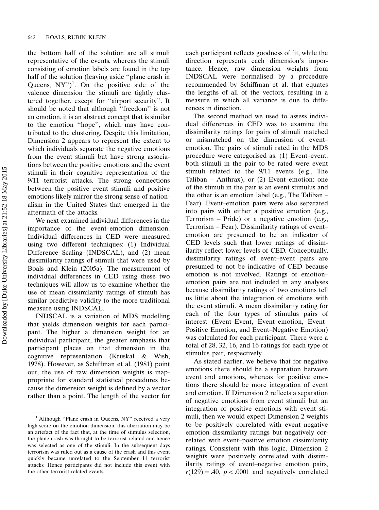the bottom half of the solution are all stimuli representative of the events, whereas the stimuli consisting of emotion labels are found in the top half of the solution (leaving aside ''plane crash in Queens,  $NY''$ )<sup>1</sup>. On the positive side of the valence dimension the stimuli are tightly clustered together, except for ''airport security''. It should be noted that although ''freedom'' is not an emotion, it is an abstract concept that is similar to the emotion ''hope'', which may have contributed to the clustering. Despite this limitation, Dimension 2 appears to represent the extent to which individuals separate the negative emotions from the event stimuli but have strong associations between the positive emotions and the event stimuli in their cognitive representation of the 9/11 terrorist attacks. The strong connections between the positive event stimuli and positive emotions likely mirror the strong sense of nationalism in the United States that emerged in the aftermath of the attacks.

We next examined individual differences in the importance of the event-emotion dimension. Individual differences in CED were measured using two different techniques: (1) Individual Difference Scaling (INDSCAL), and (2) mean dissimilarity ratings of stimuli that were used by Boals and Klein (2005a). The measurement of individual differences in CED using these two techniques will allow us to examine whether the use of mean dissimilarity ratings of stimuli has similar predictive validity to the more traditional measure using INDSCAL.

INDSCAL is a variation of MDS modelling that yields dimension weights for each participant. The higher a dimension weight for an individual participant, the greater emphasis that participant places on that dimension in the cognitive representation (Kruskal & Wish, 1978). However, as Schiffman et al. (1981) point out, the use of raw dimension weights is inappropriate for standard statistical procedures because the dimension weight is defined by a vector rather than a point. The length of the vector for each participant reflects goodness of fit, while the direction represents each dimension's importance. Hence, raw dimension weights from INDSCAL were normalised by a procedure recommended by Schiffman et al. that equates the lengths of all of the vectors, resulting in a measure in which all variance is due to differences in direction.

The second method we used to assess individual differences in CED was to examine the dissimilarity ratings for pairs of stimuli matched or mismatched on the dimension of event emotion. The pairs of stimuli rated in the MDS procedure were categorised as:  $(1)$  Event-event: both stimuli in the pair to be rated were event stimuli related to the 9/11 events (e.g., The Taliban – Anthrax), or  $(2)$  Event–emotion: one of the stimuli in the pair is an event stimulus and the other is an emotion label (e.g., The Taliban Fear). Event-emotion pairs were also separated into pairs with either a positive emotion (e.g., Terrorism  $-$  Pride) or a negative emotion (e.g., Terrorism  $-$  Fear). Dissimilarity ratings of eventemotion are presumed to be an indicator of CED levels such that lower ratings of dissimilarity reflect lower levels of CED. Conceptually, dissimilarity ratings of event-event pairs are presumed to not be indicative of CED because emotion is not involved. Ratings of emotion emotion pairs are not included in any analyses because dissimilarity ratings of two emotions tell us little about the integration of emotions with the event stimuli. A mean dissimilarity rating for each of the four types of stimulus pairs of interest (Event-Event, Event-emotion, Event-Positive Emotion, and Event–Negative Emotion) was calculated for each participant. There were a total of 28, 32, 16, and 16 ratings for each type of stimulus pair, respectively.

As stated earlier, we believe that for negative emotions there should be a separation between event and emotions, whereas for positive emotions there should be more integration of event and emotion. If Dimension 2 reflects a separation of negative emotions from event stimuli but an integration of positive emotions with event stimuli, then we would expect Dimension 2 weights to be positively correlated with event-negative emotion dissimilarity ratings but negatively correlated with event-positive emotion dissimilarity ratings. Consistent with this logic, Dimension 2 weights were positively correlated with dissimilarity ratings of event-negative emotion pairs,  $r(129) = .40$ ,  $p < .0001$  and negatively correlated

 $<sup>1</sup>$  Although "Plane crash in Queens, NY" received a very</sup> high score on the emotion dimension, this aberration may be an artefact of the fact that, at the time of stimulus selection, the plane crash was thought to be terrorist related and hence was selected as one of the stimuli. In the subsequent days terrorism was ruled out as a cause of the crash and this event quickly became unrelated to the September 11 terrorist attacks. Hence participants did not include this event with the other terrorist-related events.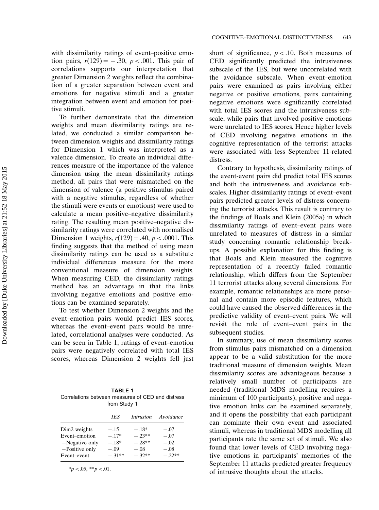with dissimilarity ratings of event-positive emotion pairs,  $r(129) = -.30, p < .001$ . This pair of correlations supports our interpretation that greater Dimension 2 weights reflect the combination of a greater separation between event and emotions for negative stimuli and a greater integration between event and emotion for positive stimuli.

To further demonstrate that the dimension weights and mean dissimilarity ratings are related, we conducted a similar comparison between dimension weights and dissimilarity ratings for Dimension 1 which was interpreted as a valence dimension. To create an individual differences measure of the importance of the valence dimension using the mean dissimilarity ratings method, all pairs that were mismatched on the dimension of valence (a positive stimulus paired with a negative stimulus, regardless of whether the stimuli were events or emotions) were used to calculate a mean positivenegative dissimilarity rating. The resulting mean positive-negative dissimilarity ratings were correlated with normalised Dimension 1 weights,  $r(129) = .40$ ,  $p < .0001$ . This finding suggests that the method of using mean dissimilarity ratings can be used as a substitute individual differences measure for the more conventional measure of dimension weights. When measuring CED, the dissimilarity ratings method has an advantage in that the links involving negative emotions and positive emotions can be examined separately.

To test whether Dimension 2 weights and the event-emotion pairs would predict IES scores, whereas the event-event pairs would be unrelated, correlational analyses were conducted. As can be seen in Table 1, ratings of event-emotion pairs were negatively correlated with total IES scores, whereas Dimension 2 weights fell just

TABLE 1 Correlations between measures of CED and distress from Study 1

| $-.15$   | $-.18*$  | $-.07$  |
|----------|----------|---------|
| $-.17*$  | $-.23**$ | $-.07$  |
| $-.18*$  | $-.28**$ | $-.02$  |
| $-.09$   | $-.08$   | $-.08$  |
| $-.31**$ | $-32**$  | $-22**$ |
|          |          |         |

 $*p < .05, **p < .01.$ 

short of significance,  $p < .10$ . Both measures of CED significantly predicted the intrusiveness subscale of the IES, but were uncorrelated with the avoidance subscale. When event-emotion pairs were examined as pairs involving either negative or positive emotions, pairs containing negative emotions were significantly correlated with total IES scores and the intrusiveness subscale, while pairs that involved positive emotions were unrelated to IES scores. Hence higher levels of CED involving negative emotions in the cognitive representation of the terrorist attacks were associated with less September 11-related distress.

Contrary to hypothesis, dissimilarity ratings of the event-event pairs did predict total IES scores and both the intrusiveness and avoidance subscales. Higher dissimilarity ratings of event-event pairs predicted greater levels of distress concerning the terrorist attacks. This result is contrary to the findings of Boals and Klein (2005a) in which dissimilarity ratings of event-event pairs were unrelated to measures of distress in a similar study concerning romantic relationship breakups. A possible explanation for this finding is that Boals and Klein measured the cognitive representation of a recently failed romantic relationship, which differs from the September 11 terrorist attacks along several dimensions. For example, romantic relationships are more personal and contain more episodic features, which could have caused the observed differences in the predictive validity of event-event pairs. We will revisit the role of event-event pairs in the subsequent studies.

In summary, use of mean dissimilarity scores from stimulus pairs mismatched on a dimension appear to be a valid substitution for the more traditional measure of dimension weights. Mean dissimilarity scores are advantageous because a relatively small number of participants are needed (traditional MDS modelling requires a minimum of 100 participants), positive and negative emotion links can be examined separately, and it opens the possibility that each participant can nominate their own event and associated stimuli, whereas in traditional MDS modelling all participants rate the same set of stimuli. We also found that lower levels of CED involving negative emotions in participants' memories of the September 11 attacks predicted greater frequency of intrusive thoughts about the attacks.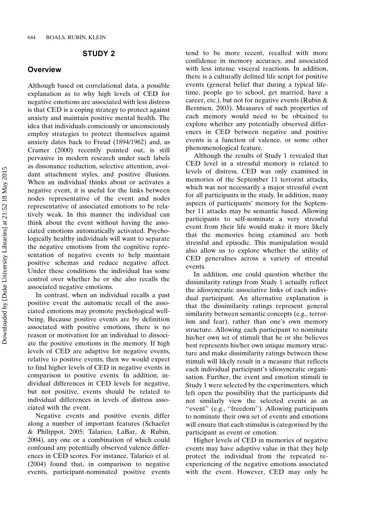## STUDY 2

## **Overview**

Although based on correlational data, a possible explanation as to why high levels of CED for negative emotions are associated with less distress is that CED is a coping strategy to protect against anxiety and maintain positive mental health. The idea that individuals consciously or unconsciously employ strategies to protect themselves against anxiety dates back to Freud (1894/1962) and, as Cramer (2000) recently pointed out, is still pervasive in modern research under such labels as dissonance reduction, selective attention, avoidant attachment styles, and positive illusions. When an individual thinks about or activates a negative event, it is useful for the links between nodes representative of the event and nodes representative of associated emotions to be relatively weak. In this manner the individual can think about the event without having the associated emotions automatically activated. Psychologically healthy individuals will want to separate the negative emotions from the cognitive representation of negative events to help maintain positive schemas and reduce negative affect. Under these conditions the individual has some control over whether he or she also recalls the associated negative emotions.

In contrast, when an individual recalls a past positive event the automatic recall of the associated emotions may promote psychological wellbeing. Because positive events are by definition associated with positive emotions, there is no reason or motivation for an individual to dissociate the positive emotions in the memory. If high levels of CED are adaptive for negative events, relative to positive events, then we would expect to find higher levels of CED in negative events in comparison to positive events. In addition, individual differences in CED levels for negative, but not positive, events should be related to individual differences in levels of distress associated with the event.

Negative events and positive events differ along a number of important features (Schaefer & Philippot, 2005; Talarico, LaBar, & Rubin, 2004), any one or a combination of which could confound any potentially observed valence differences in CED scores. For instance, Talarico et al. (2004) found that, in comparison to negative events, participant-nominated positive events tend to be more recent, recalled with more confidence in memory accuracy, and associated with less intense visceral reactions. In addition, there is a culturally defined life script for positive events (general belief that during a typical lifetime, people go to school, get married, have a career, etc.), but not for negative events (Rubin & Berntsen, 2003). Measures of such properties of each memory would need to be obtained to explore whether any potentially observed differences in CED between negative and positive events is a function of valence, or some other phenomenological feature.

Although the results of Study 1 revealed that CED level in a stressful memory is related to levels of distress, CED was only examined in memories of the September 11 terrorist attacks, which was not necessarily a major stressful event for all participants in the study. In addition, many aspects of participants' memory for the September 11 attacks may be semantic based. Allowing participants to self-nominate a very stressful event from their life would make it more likely that the memories being examined are both stressful and episodic. This manipulation would also allow us to explore whether the utility of CED generalises across a variety of stressful events.

In addition, one could question whether the dissimilarity ratings from Study 1 actually reflect the idiosyncratic associative links of each individual participant. An alternative explanation is that the dissimilarity ratings represent general similarity between semantic concepts (e.g., terrorism and fear), rather than one's own memory structure. Allowing each participant to nominate his/her own set of stimuli that he or she believes best represents his/her own unique memory structure and make dissimilarity ratings between these stimuli will likely result in a measure that reflects each individual participant's idiosyncratic organisation. Further, the event and emotion stimuli in Study 1 were selected by the experimenters, which left open the possibility that the participants did not similarly view the selected events as an "event" (e.g., "freedom"). Allowing participants to nominate their own set of events and emotions will ensure that each stimulus is categorised by the participant as event or emotion.

Higher levels of CED in memories of negative events may have adaptive value in that they help protect the individual from the repeated reexperiencing of the negative emotions associated with the event. However, CED may only be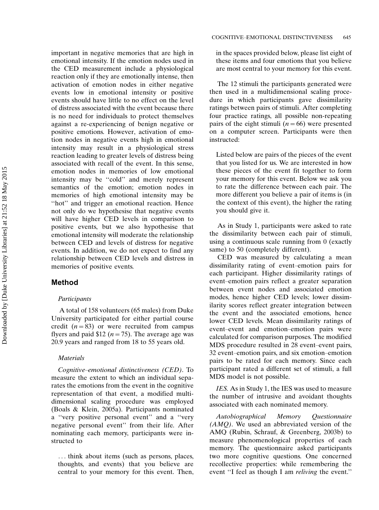important in negative memories that are high in emotional intensity. If the emotion nodes used in the CED measurement include a physiological reaction only if they are emotionally intense, then activation of emotion nodes in either negative events low in emotional intensity or positive events should have little to no effect on the level of distress associated with the event because there is no need for individuals to protect themselves against a re-experiencing of benign negative or positive emotions. However, activation of emotion nodes in negative events high in emotional intensity may result in a physiological stress reaction leading to greater levels of distress being associated with recall of the event. In this sense, emotion nodes in memories of low emotional intensity may be ''cold'' and merely represent semantics of the emotion; emotion nodes in memories of high emotional intensity may be ''hot'' and trigger an emotional reaction. Hence not only do we hypothesise that negative events will have higher CED levels in comparison to positive events, but we also hypothesise that emotional intensity will moderate the relationship between CED and levels of distress for negative events. In addition, we do not expect to find any relationship between CED levels and distress in memories of positive events.

## Method

#### Participants

A total of 158 volunteers (65 males) from Duke University participated for either partial course credit ( $n = 83$ ) or were recruited from campus flyers and paid \$12 ( $n = 75$ ). The average age was 20.9 years and ranged from 18 to 55 years old.

### **Materials**

Cognitive–emotional distinctiveness  $(CED)$ . To measure the extent to which an individual separates the emotions from the event in the cognitive representation of that event, a modified multidimensional scaling procedure was employed (Boals & Klein, 2005a). Participants nominated a ''very positive personal event'' and a ''very negative personal event'' from their life. After nominating each memory, participants were instructed to

... think about items (such as persons, places, thoughts, and events) that you believe are central to your memory for this event. Then, in the spaces provided below, please list eight of these items and four emotions that you believe are most central to your memory for this event.

The 12 stimuli the participants generated were then used in a multidimensional scaling procedure in which participants gave dissimilarity ratings between pairs of stimuli. After completing four practice ratings, all possible non-repeating pairs of the eight stimuli  $(n=66)$  were presented on a computer screen. Participants were then instructed:

Listed below are pairs of the pieces of the event that you listed for us. We are interested in how these pieces of the event fit together to form your memory for this event. Below we ask you to rate the difference between each pair. The more different you believe a pair of items is (in the context of this event), the higher the rating you should give it.

As in Study 1, participants were asked to rate the dissimilarity between each pair of stimuli, using a continuous scale running from 0 (exactly same) to 50 (completely different).

CED was measured by calculating a mean dissimilarity rating of event-emotion pairs for each participant. Higher dissimilarity ratings of event–emotion pairs reflect a greater separation between event nodes and associated emotion modes, hence higher CED levels; lower dissimilarity scores reflect greater integration between the event and the associated emotions, hence lower CED levels. Mean dissimilarity ratings of event-event and emotion-emotion pairs were calculated for comparison purposes. The modified MDS procedure resulted in 28 event-event pairs, 32 event-emotion pairs, and six emotion-emotion pairs to be rated for each memory. Since each participant rated a different set of stimuli, a full MDS model is not possible.

IES. As in Study 1, the IES was used to measure the number of intrusive and avoidant thoughts associated with each nominated memory.

Autobiographical Memory Questionnaire  $(AMQ)$ . We used an abbreviated version of the AMQ (Rubin, Schrauf, & Greenberg, 2003b) to measure phenomenological properties of each memory. The questionnaire asked participants two more cognitive questions. One concerned recollective properties: while remembering the event "I feel as though I am *reliving* the event."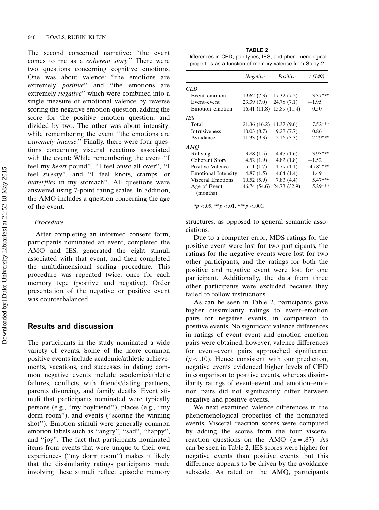The second concerned narrative: ''the event comes to me as a coherent story.'' There were two questions concerning cognitive emotions. One was about valence: ''the emotions are extremely *positive*" and "the emotions are extremely *negative*" which were combined into a single measure of emotional valence by reverse scoring the negative emotion question, adding the score for the positive emotion question, and divided by two. The other was about intensity: while remembering the event ''the emotions are extremely intense." Finally, there were four questions concerning visceral reactions associated with the event: While remembering the event ''I feel my heart pound", "I feel tense all over", "I feel sweaty'', and ''I feel knots, cramps, or butterflies in my stomach". All questions were answered using 7-point rating scales. In addition, the AMQ includes a question concerning the age of the event.

#### Procedure

After completing an informed consent form, participants nominated an event, completed the AMQ and IES, generated the eight stimuli associated with that event, and then completed the multidimensional scaling procedure. This procedure was repeated twice, once for each memory type (positive and negative). Order presentation of the negative or positive event was counterbalanced.

## Results and discussion

The participants in the study nominated a wide variety of events. Some of the more common positive events include academic/athletic achievements, vacations, and successes in dating; common negative events include academic/athletic failures, conflicts with friends/dating partners, parents divorcing, and family deaths. Event stimuli that participants nominated were typically persons (e.g., ''my boyfriend''), places (e.g., ''my dorm room''), and events (''scoring the winning shot''). Emotion stimuli were generally common emotion labels such as "angry", "sad", "happy", and ''joy''. The fact that participants nominated items from events that were unique to their own experiences (''my dorm room'') makes it likely that the dissimilarity ratings participants made involving these stimuli reflect episodic memory

TABLE 2 Differences in CED, pair types, IES, and phenomenological properties as a function of memory valence from Study 2

|                            | Negative     | Positive     | t (149)     |
|----------------------------|--------------|--------------|-------------|
| CED                        |              |              |             |
| Event-emotion              | 19.62(7.3)   | 17.32(7.2)   | $3.37***$   |
| Event-event                | 23.39(7.0)   | 24.78 (7.1)  | $-1.95$     |
| Emotion-emotion            | 16.41(11.8)  | 15.89 (11.4) | 0.50        |
| <b>IES</b>                 |              |              |             |
| Total                      | 21.36 (16.2) | 11.37(9.6)   | $7.52***$   |
| <b>Intrusiveness</b>       | 10.03(8.7)   | 9.22(7.7)    | 0.86        |
| Avoidance                  | 11.33(9.3)   | 2.16(3.3)    | 12.29***    |
| AMO                        |              |              |             |
| Reliving                   | 3.88(1.5)    | 4.47(1.6)    | $-3.93***$  |
| Coherent Story             | 4.52(1.9)    | 4.82(1.8)    | $-1.52$     |
| Positive Valence           | $-5.11(1.7)$ | 1.79(1.1)    | $-45.82***$ |
| <b>Emotional Intensity</b> | 4.87(1.5)    | 4.64(1.4)    | 1.49        |
| Visceral Emotions          | 10.52(5.9)   | 7.83(4.4)    | $5.47***$   |
| Age of Event<br>(months)   | 46.74 (54.6) | 24.73 (32.9) | 5.29***     |

 $*p < .05, **p < .01, **p < .001$ .

structures, as opposed to general semantic associations.

Due to a computer error, MDS ratings for the positive event were lost for two participants, the ratings for the negative events were lost for two other participants, and the ratings for both the positive and negative event were lost for one participant. Additionally, the data from three other participants were excluded because they failed to follow instructions.

As can be seen in Table 2, participants gave higher dissimilarity ratings to event-emotion pairs for negative events, in comparison to positive events. No significant valence differences in ratings of event-event and emotion-emotion pairs were obtained; however, valence differences for event-event pairs approached significance  $(p < .10)$ . Hence consistent with our prediction, negative events evidenced higher levels of CED in comparison to positive events, whereas dissimilarity ratings of event-event and emotion-emotion pairs did not significantly differ between negative and positive events.

We next examined valence differences in the phenomenological properties of the nominated events. Visceral reaction scores were computed by adding the scores from the four visceral reaction questions on the AMQ  $(\alpha = .87)$ . As can be seen in Table 2, IES scores were higher for negative events than positive events, but this difference appears to be driven by the avoidance subscale. As rated on the AMQ, participants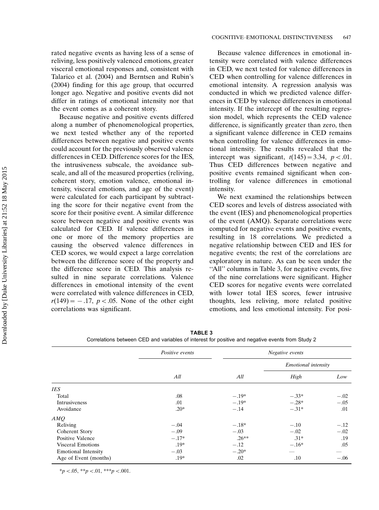rated negative events as having less of a sense of reliving, less positively valenced emotions, greater visceral emotional responses and, consistent with Talarico et al. (2004) and Berntsen and Rubin's (2004) finding for this age group, that occurred longer ago. Negative and positive events did not differ in ratings of emotional intensity nor that the event comes as a coherent story.

Because negative and positive events differed along a number of phenomenological properties, we next tested whether any of the reported differences between negative and positive events could account for the previously observed valence differences in CED. Difference scores for the IES, the intrusiveness subscale, the avoidance subscale, and all of the measured properties (reliving, coherent story, emotion valence, emotional intensity, visceral emotions, and age of the event) were calculated for each participant by subtracting the score for their negative event from the score for their positive event. A similar difference score between negative and positive events was calculated for CED. If valence differences in one or more of the memory properties are causing the observed valence differences in CED scores, we would expect a large correlation between the difference score of the property and the difference score in CED. This analysis resulted in nine separate correlations. Valence differences in emotional intensity of the event were correlated with valence differences in CED,  $r(149) = -.17, p < .05$ . None of the other eight correlations was significant.

Because valence differences in emotional intensity were correlated with valence differences in CED, we next tested for valence differences in CED when controlling for valence differences in emotional intensity. A regression analysis was conducted in which we predicted valence differences in CED by valence differences in emotional intensity. If the intercept of the resulting regression model, which represents the CED valence difference, is significantly greater than zero, then a significant valence difference in CED remains when controlling for valence differences in emotional intensity. The results revealed that the intercept was significant,  $t(145) = 3.34$ ,  $p < .01$ . Thus CED differences between negative and positive events remained significant when controlling for valence differences in emotional intensity.

We next examined the relationships between CED scores and levels of distress associated with the event (IES) and phenomenological properties of the event (AMQ). Separate correlations were computed for negative events and positive events, resulting in 18 correlations. We predicted a negative relationship between CED and IES for negative events; the rest of the correlations are exploratory in nature. As can be seen under the ''All'' columns in Table 3, for negative events, five of the nine correlations were significant. Higher CED scores for negative events were correlated with lower total IES scores, fewer intrusive thoughts, less reliving, more related positive emotions, and less emotional intensity. For posi-

| <b>TABLE 3</b>                                                                                   |  |
|--------------------------------------------------------------------------------------------------|--|
| Correlations between CED and variables of interest for positive and negative events from Study 2 |  |

|                            | Positive events |         | Negative events            |        |  |
|----------------------------|-----------------|---------|----------------------------|--------|--|
|                            |                 |         | <i>Emotional intensity</i> |        |  |
|                            | All             | All     | High                       | Low    |  |
| IES                        |                 |         |                            |        |  |
| Total                      | .08             | $-.19*$ | $-.33*$                    | $-.02$ |  |
| Intrusiveness              | .01             | $-.19*$ | $-.28*$                    | $-.05$ |  |
| Avoidance                  | $.20*$          | $-.14$  | $-.31*$                    | .01    |  |
| AMO                        |                 |         |                            |        |  |
| Reliving                   | $-.04$          | $-.18*$ | $-.10$                     | $-.12$ |  |
| Coherent Story             | $-.09$          | $-.03$  | $-.02$                     | $-.02$ |  |
| Positive Valence           | $-.17*$         | $.26**$ | $.31*$                     | .19    |  |
| <b>Visceral Emotions</b>   | $.19*$          | $-.12$  | $-.16*$                    | .05    |  |
| <b>Emotional Intensity</b> | $-.03$          | $-.20*$ | $\overline{\phantom{0}}$   |        |  |
| Age of Event (months)      | $.19*$          | .02     | $.10\,$                    | $-.06$ |  |

 $*p < .05, **p < .01, **p < .001.$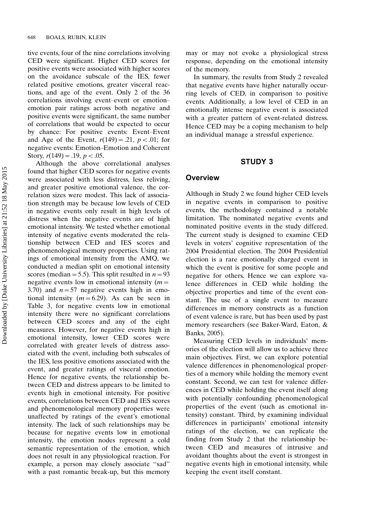tive events, four of the nine correlations involving CED were significant. Higher CED scores for positive events were associated with higher scores on the avoidance subscale of the IES, fewer related positive emotions, greater visceral reactions, and age of the event. Only 2 of the 36 correlations involving event-event or emotionemotion pair ratings across both negative and positive events were significant, the same number of correlations that would be expected to occur by chance: For positive events: Event-Event and Age of the Event,  $r(149) = .21$ ,  $p < .01$ ; for negative events: Emotion-Emotion and Coherent Story,  $r(149) = .19$ ,  $p < .05$ .

Although the above correlational analyses found that higher CED scores for negative events were associated with less distress, less reliving, and greater positive emotional valence, the correlation sizes were modest. This lack of association strength may be because low levels of CED in negative events only result in high levels of distress when the negative events are of high emotional intensity. We tested whether emotional intensity of negative events moderated the relationship between CED and IES scores and phenomenological memory properties. Using ratings of emotional intensity from the AMQ, we conducted a median split on emotional intensity scores (median = 5.5). This split resulted in  $n = 93$ negative events low in emotional intensity  $(m =$ 3.70) and  $n = 57$  negative events high in emotional intensity ( $m = 6.29$ ). As can be seen in Table 3, for negative events low in emotional intensity there were no significant correlations between CED scores and any of the eight measures. However, for negative events high in emotional intensity, lower CED scores were correlated with greater levels of distress associated with the event, including both subscales of the IES, less positive emotions associated with the event, and greater ratings of visceral emotion. Hence for negative events, the relationship between CED and distress appears to be limited to events high in emotional intensity. For positive events, correlations between CED and IES scores and phenomenological memory properties were unaffected by ratings of the event's emotional intensity. The lack of such relationships may be because for negative events low in emotional intensity, the emotion nodes represent a cold semantic representation of the emotion, which does not result in any physiological reaction. For example, a person may closely associate ''sad'' with a past romantic break-up, but this memory may or may not evoke a physiological stress response, depending on the emotional intensity of the memory.

In summary, the results from Study 2 revealed that negative events have higher naturally occurring levels of CED, in comparison to positive events. Additionally, a low level of CED in an emotionally intense negative event is associated with a greater pattern of event-related distress. Hence CED may be a coping mechanism to help an individual manage a stressful experience.

## STUDY 3

#### **Overview**

Although in Study 2 we found higher CED levels in negative events in comparison to positive events, the methodology contained a notable limitation. The nominated negative events and nominated positive events in the study differed. The current study is designed to examine CED levels in voters' cognitive representation of the 2004 Presidential election. The 2004 Presidential election is a rare emotionally charged event in which the event is positive for some people and negative for others. Hence we can explore valence differences in CED while holding the objective properties and time of the event constant. The use of a single event to measure differences in memory constructs as a function of event valence is rare, but has been used by past memory researchers (see Baker-Ward, Eaton, & Banks, 2005).

Measuring CED levels in individuals' memories of the election will allow us to achieve three main objectives. First, we can explore potential valence differences in phenomenological properties of a memory while holding the memory event constant. Second, we can test for valence differences in CED while holding the event itself along with potentially confounding phenomenological properties of the event (such as emotional intensity) constant. Third, by examining individual differences in participants' emotional intensity ratings of the election, we can replicate the finding from Study 2 that the relationship between CED and measures of intrusive and avoidant thoughts about the event is strongest in negative events high in emotional intensity, while keeping the event itself constant.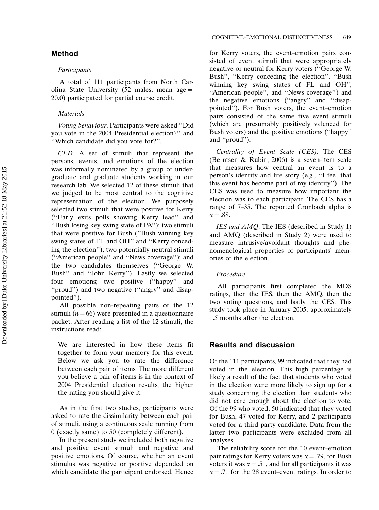#### Participants

A total of 111 participants from North Carolina State University  $(52 \text{ males}; \text{mean age})$ 20.0) participated for partial course credit.

#### **Materials**

Voting behaviour. Participants were asked ''Did you vote in the 2004 Presidential election?'' and ''Which candidate did you vote for?''.

CED. A set of stimuli that represent the persons, events, and emotions of the election was informally nominated by a group of undergraduate and graduate students working in our research lab. We selected 12 of these stimuli that we judged to be most central to the cognitive representation of the election. We purposely selected two stimuli that were positive for Kerry (''Early exits polls showing Kerry lead'' and ''Bush losing key swing state of PA''); two stimuli that were positive for Bush (''Bush winning key swing states of FL and OH'' and ''Kerry conceding the election''); two potentially neutral stimuli (''American people'' and ''News coverage''); and the two candidates themselves (''George W. Bush'' and ''John Kerry''). Lastly we selected four emotions; two positive (''happy'' and ''proud'') and two negative (''angry'' and disappointed'').

All possible non-repeating pairs of the 12 stimuli ( $n = 66$ ) were presented in a questionnaire packet. After reading a list of the 12 stimuli, the instructions read:

We are interested in how these items fit together to form your memory for this event. Below we ask you to rate the difference between each pair of items. The more different you believe a pair of items is in the context of 2004 Presidential election results, the higher the rating you should give it.

As in the first two studies, participants were asked to rate the dissimilarity between each pair of stimuli, using a continuous scale running from 0 (exactly same) to 50 (completely different).

In the present study we included both negative and positive event stimuli and negative and positive emotions. Of course, whether an event stimulus was negative or positive depended on which candidate the participant endorsed. Hence

for Kerry voters, the event-emotion pairs consisted of event stimuli that were appropriately negative or neutral for Kerry voters (''George W. Bush'', ''Kerry conceding the election'', ''Bush winning key swing states of FL and OH'', ''American people'', and ''News coverage'') and the negative emotions (''angry'' and ''disappointed''). For Bush voters, the event-emotion pairs consisted of the same five event stimuli (which are presumably positively valenced for Bush voters) and the positive emotions (''happy'' and ''proud'').

Centrality of Event Scale (CES). The CES (Berntsen & Rubin, 2006) is a seven-item scale that measures how central an event is to a person's identity and life story (e.g., ''I feel that this event has become part of my identity''). The CES was used to measure how important the election was to each participant. The CES has a range of 7–35. The reported Cronbach alpha is  $\alpha = .88$ .

IES and AMQ. The IES (described in Study 1) and AMQ (described in Study 2) were used to measure intrusive/avoidant thoughts and phenomenological properties of participants' memories of the election.

#### Procedure

All participants first completed the MDS ratings, then the IES, then the AMQ, then the two voting questions, and lastly the CES. This study took place in January 2005, approximately 1.5 months after the election.

## Results and discussion

Of the 111 participants, 99 indicated that they had voted in the election. This high percentage is likely a result of the fact that students who voted in the election were more likely to sign up for a study concerning the election than students who did not care enough about the election to vote. Of the 99 who voted, 50 indicated that they voted for Bush, 47 voted for Kerry, and 2 participants voted for a third party candidate. Data from the latter two participants were excluded from all analyses.

The reliability score for the 10 event-emotion pair ratings for Kerry voters was  $\alpha = .79$ , for Bush voters it was  $\alpha = .51$ , and for all participants it was  $\alpha$  = .71 for the 28 event-event ratings. In order to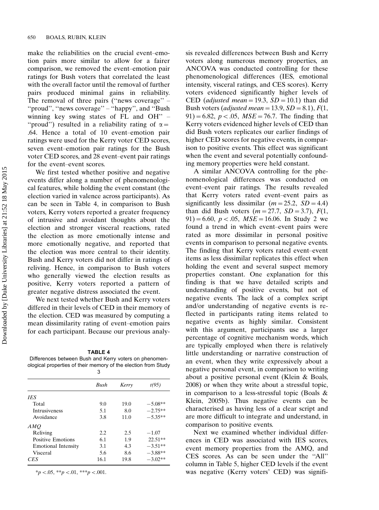make the reliabilities on the crucial event-emotion pairs more similar to allow for a fairer comparison, we removed the event-emotion pair ratings for Bush voters that correlated the least with the overall factor until the removal of further pairs produced minimal gains in reliability. The removal of three pairs ("news coverage" -"proud", "news coverage" - "happy", and "Bush winning key swing states of FL and OH'' "proud") resulted in a reliability rating of  $\alpha$  = .64. Hence a total of 10 event-emotion pair ratings were used for the Kerry voter CED scores, seven event-emotion pair ratings for the Bush voter CED scores, and 28 event-event pair ratings for the event-event scores.

We first tested whether positive and negative events differ along a number of phenomenological features, while holding the event constant (the election varied in valence across participants). As can be seen in Table 4, in comparison to Bush voters, Kerry voters reported a greater frequency of intrusive and avoidant thoughts about the election and stronger visceral reactions, rated the election as more emotionally intense and more emotionally negative, and reported that the election was more central to their identity. Bush and Kerry voters did not differ in ratings of reliving. Hence, in comparison to Bush voters who generally viewed the election results as positive, Kerry voters reported a pattern of greater negative distress associated the event.

We next tested whether Bush and Kerry voters differed in their levels of CED in their memory of the election. CED was measured by computing a mean dissimilarity rating of event-emotion pairs for each participant. Because our previous analy-

|--|

Differences between Bush and Kerry voters on phenomenological properties of their memory of the election from Study 3

|                            | Bush | Kerry | t(95)     |
|----------------------------|------|-------|-----------|
| <b>IES</b>                 |      |       |           |
| Total                      | 9.0  | 19.0  | $-5.08**$ |
| <b>Intrusiveness</b>       | 5.1  | 8.0   | $-2.75**$ |
| Avoidance                  | 3.8  | 11.0  | $-5.35**$ |
| AMO                        |      |       |           |
| Reliving                   | 2.2  | 2.5   | $-1.07$   |
| Positive Emotions          | 6.1  | 1.9   | $22.51**$ |
| <b>Emotional Intensity</b> | 3.1  | 4.3   | $-3.51**$ |
| Visceral                   | 5.6  | 8.6   | $-3.88**$ |
| CES                        | 16.1 | 19.8  | $-3.02**$ |
|                            |      |       |           |

 $*_{p}$  < 0.05,  $*_{p}$  < 0.01,  $*_{p}$ , < 0.001.

sis revealed differences between Bush and Kerry voters along numerous memory properties, an ANCOVA was conducted controlling for these phenomenological differences (IES, emotional intensity, visceral ratings, and CES scores). Kerry voters evidenced significantly higher levels of CED (*adjusted mean* = 19.3,  $SD = 10.1$ ) than did Bush voters (adjusted mean = 13.9,  $SD = 8.1$ ),  $F(1,$  $91) = 6.82, p < 0.05, MSE = 76.7.$  The finding that Kerry voters evidenced higher levels of CED than did Bush voters replicates our earlier findings of higher CED scores for negative events, in comparison to positive events. This effect was significant when the event and several potentially confounding memory properties were held constant.

A similar ANCOVA controlling for the phenomenological differences was conducted on event-event pair ratings. The results revealed that Kerry voters rated event-event pairs as significantly less dissimilar  $(m = 25.2, SD = 4.4)$ than did Bush voters  $(m = 27.7, SD = 3.7), F(1,$  $(91) = 6.60, p < 0.05, MSE = 16.06.$  In Study 2 we found a trend in which event-event pairs were rated as more dissimilar in personal positive events in comparison to personal negative events. The finding that Kerry voters rated event-event items as less dissimilar replicates this effect when holding the event and several suspect memory properties constant. One explanation for this finding is that we have detailed scripts and understanding of positive events, but not of negative events. The lack of a complex script and/or understanding of negative events is reflected in participants rating items related to negative events as highly similar. Consistent with this argument, participants use a larger percentage of cognitive mechanism words, which are typically employed when there is relatively little understanding or narrative construction of an event, when they write expressively about a negative personal event, in comparison to writing about a positive personal event (Klein & Boals, 2008) or when they write about a stressful topic, in comparison to a less-stressful topic (Boals & Klein, 2005b). Thus negative events can be characterised as having less of a clear script and are more difficult to integrate and understand, in comparison to positive events.

Next we examined whether individual differences in CED was associated with IES scores, event memory properties from the AMQ, and CES scores. As can be seen under the ''All'' column in Table 5, higher CED levels if the event was negative (Kerry voters' CED) was signifi-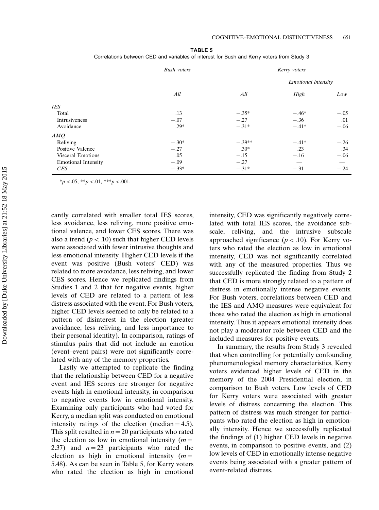|                            | <b>Bush</b> voters |          | Kerry voters |                            |  |
|----------------------------|--------------------|----------|--------------|----------------------------|--|
|                            |                    |          |              | <b>Emotional Intensity</b> |  |
|                            | All                | All      | High         | Low                        |  |
| IES                        |                    |          |              |                            |  |
| Total                      | .13                | $-.35*$  | $-.46*$      | $-.05$                     |  |
| Intrusiveness              | $-.07$             | $-.27$   | $-.36$       | .01                        |  |
| Avoidance                  | $.29*$             | $-.31*$  | $-.41*$      | $-.06$                     |  |
| AMO                        |                    |          |              |                            |  |
| Reliving                   | $-.30*$            | $-.39**$ | $-.41*$      | $-.26$                     |  |
| Positive Valence           | $-.27$             | $.30*$   | .23          | .34                        |  |
| <b>Visceral Emotions</b>   | .05                | $-.15$   | $-.16$       | $-.06$                     |  |
| <b>Emotional Intensity</b> | $-.09$             | $-.27$   |              |                            |  |
| <b>CES</b>                 | $-.33*$            | $-.31*$  | $-.31$       | $-.24$                     |  |

TABLE 5 Correlations between CED and variables of interest for Bush and Kerry voters from Study 3

 $*_{p}$  < 0.05,  $*_{p}$  < 0.01,  $*_{p}$ , < 0.001.

cantly correlated with smaller total IES scores, less avoidance, less reliving, more positive emotional valence, and lower CES scores. There was also a trend ( $p < .10$ ) such that higher CED levels were associated with fewer intrusive thoughts and less emotional intensity. Higher CED levels if the event was positive (Bush voters' CED) was related to more avoidance, less reliving, and lower CES scores. Hence we replicated findings from Studies 1 and 2 that for negative events, higher levels of CED are related to a pattern of less distress associated with the event. For Bush voters, higher CED levels seemed to only be related to a pattern of disinterest in the election (greater avoidance, less reliving, and less importance to their personal identity). In comparison, ratings of stimulus pairs that did not include an emotion (event-event pairs) were not significantly correlated with any of the memory properties.

Lastly we attempted to replicate the finding that the relationship between CED for a negative event and IES scores are stronger for negative events high in emotional intensity, in comparison to negative events low in emotional intensity. Examining only participants who had voted for Kerry, a median split was conducted on emotional intensity ratings of the election (median  $=$  4.5). This split resulted in  $n = 20$  participants who rated the election as low in emotional intensity  $(m =$ 2.37) and  $n=23$  participants who rated the election as high in emotional intensity  $(m =$ 5.48). As can be seen in Table 5, for Kerry voters who rated the election as high in emotional

intensity, CED was significantly negatively correlated with total IES scores, the avoidance subscale, reliving, and the intrusive subscale approached significance ( $p < .10$ ). For Kerry voters who rated the election as low in emotional intensity, CED was not significantly correlated with any of the measured properties. Thus we successfully replicated the finding from Study 2 that CED is more strongly related to a pattern of distress in emotionally intense negative events. For Bush voters, correlations between CED and the IES and AMQ measures were equivalent for those who rated the election as high in emotional intensity. Thus it appears emotional intensity does not play a moderator role between CED and the included measures for positive events.

In summary, the results from Study 3 revealed that when controlling for potentially confounding phenomenological memory characteristics, Kerry voters evidenced higher levels of CED in the memory of the 2004 Presidential election, in comparison to Bush voters. Low levels of CED for Kerry voters were associated with greater levels of distress concerning the election. This pattern of distress was much stronger for participants who rated the election as high in emotionally intensity. Hence we successfully replicated the findings of (1) higher CED levels in negative events, in comparison to positive events, and (2) low levels of CED in emotionally intense negative events being associated with a greater pattern of event-related distress.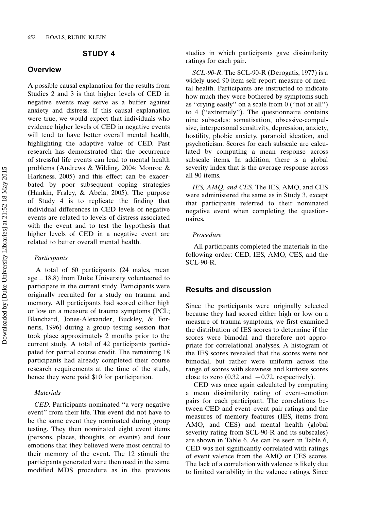## STUDY 4

## **Overview**

A possible causal explanation for the results from Studies 2 and 3 is that higher levels of CED in negative events may serve as a buffer against anxiety and distress. If this causal explanation were true, we would expect that individuals who evidence higher levels of CED in negative events will tend to have better overall mental health, highlighting the adaptive value of CED. Past research has demonstrated that the occurrence of stressful life events can lead to mental health problems (Andrews & Wilding, 2004; Monroe & Harkness, 2005) and this effect can be exacerbated by poor subsequent coping strategies (Hankin, Fraley, & Abela, 2005). The purpose of Study 4 is to replicate the finding that individual differences in CED levels of negative events are related to levels of distress associated with the event and to test the hypothesis that higher levels of CED in a negative event are related to better overall mental health.

#### **Participants**

A total of 60 participants (24 males, mean age-18.8) from Duke University volunteered to participate in the current study. Participants were originally recruited for a study on trauma and memory. All participants had scored either high or low on a measure of trauma symptoms (PCL; Blanchard, Jones-Alexander, Buckley, & Forneris, 1996) during a group testing session that took place approximately 2 months prior to the current study. A total of 42 participants participated for partial course credit. The remaining 18 participants had already completed their course research requirements at the time of the study, hence they were paid \$10 for participation.

#### **Materials**

CED. Participants nominated ''a very negative event'' from their life. This event did not have to be the same event they nominated during group testing. They then nominated eight event items (persons, places, thoughts, or events) and four emotions that they believed were most central to their memory of the event. The 12 stimuli the participants generated were then used in the same modified MDS procedure as in the previous studies in which participants gave dissimilarity ratings for each pair.

 $SCL-90-R$ . The SCL-90-R (Derogatis, 1977) is a widely used 90-item self-report measure of mental health. Participants are instructed to indicate how much they were bothered by symptoms such as ''crying easily'' on a scale from 0 (''not at all'') to 4 (''extremely''). The questionnaire contains nine subscales: somatisation, obsessive-compulsive, interpersonal sensitivity, depression, anxiety, hostility, phobic anxiety, paranoid ideation, and psychoticism. Scores for each subscale are calculated by computing a mean response across subscale items. In addition, there is a global severity index that is the average response across all 90 items.

IES, AMQ, and CES. The IES, AMQ, and CES were administered the same as in Study 3, except that participants referred to their nominated negative event when completing the questionnaires.

#### Procedure

All participants completed the materials in the following order: CED, IES, AMQ, CES, and the  $SCI - 90-R$ 

## Results and discussion

Since the participants were originally selected because they had scored either high or low on a measure of trauma symptoms, we first examined the distribution of IES scores to determine if the scores were bimodal and therefore not appropriate for correlational analyses. A histogram of the IES scores revealed that the scores were not bimodal, but rather were uniform across the range of scores with skewness and kurtosis scores close to zero (0.32 and  $-0.72$ , respectively).

CED was once again calculated by computing a mean dissimilarity rating of event-emotion pairs for each participant. The correlations between CED and event-event pair ratings and the measures of memory features (IES, items from AMQ, and CES) and mental health (global severity rating from SCL-90-R and its subscales) are shown in Table 6. As can be seen in Table 6, CED was not significantly correlated with ratings of event valence from the AMQ or CES scores. The lack of a correlation with valence is likely due to limited variability in the valence ratings. Since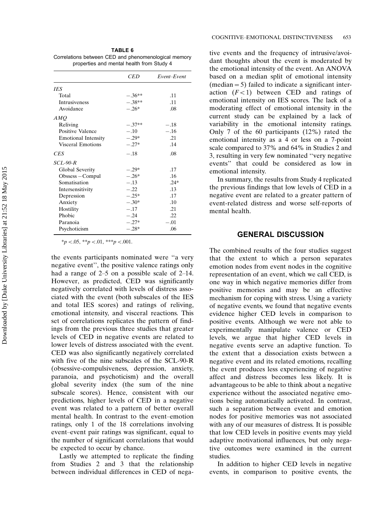| TABLE 6                                              |
|------------------------------------------------------|
| Correlations between CED and phenomenological memory |
| properties and mental health from Study 4            |

|                            | <b>CED</b> | Event-Event |
|----------------------------|------------|-------------|
| <b>IES</b>                 |            |             |
| Total                      | $-.36**$   | .11         |
| <b>Intrusiveness</b>       | $-.38**$   | .11         |
| Avoidance                  | $-.26*$    | .08         |
| AMQ                        |            |             |
| Reliving                   | $-.37**$   | $-.18$      |
| Positive Valence           | $-.10$     | $-.16$      |
| <b>Emotional Intensity</b> | $-.29*$    | .21         |
| <b>Visceral Emotions</b>   | $-.27*$    | .14         |
| <b>CES</b>                 | $-.18$     | .08         |
| SCL-90-R                   |            |             |
| Global Severity            | $-.29*$    | .17         |
| $Obssess - Compul$         | $-.26*$    | .16         |
| Somatisation               | $-.13$     | $.24*$      |
| Intersensitivity           | $-.22$     | .13         |
| Depression                 | $-.25*$    | .17         |
| Anxiety                    | $-.30*$    | .10         |
| Hostility                  | $-.17$     | .21         |
| Phobic                     | $-.24$     | .22         |
| Paranoia                   | $-.27*$    | $-.01$      |
| Psychoticism               | $-.28*$    | .06         |

 $*_{p}$  < 0.05, \*\*p < 0.01, \*\*\*p < 0.001.

the events participants nominated were ''a very negative event'', the positive valence ratings only had a range of  $2-5$  on a possible scale of  $2-14$ . However, as predicted, CED was significantly negatively correlated with levels of distress associated with the event (both subscales of the IES and total IES scores) and ratings of reliving, emotional intensity, and visceral reactions. This set of correlations replicates the pattern of findings from the previous three studies that greater levels of CED in negative events are related to lower levels of distress associated with the event. CED was also significantly negatively correlated with five of the nine subscales of the SCL-90-R (obsessive-compulsiveness, depression, anxiety, paranoia, and psychoticism) and the overall global severity index (the sum of the nine subscale scores). Hence, consistent with our predictions, higher levels of CED in a negative event was related to a pattern of better overall mental health. In contrast to the event-emotion ratings, only 1 of the 18 correlations involving event-event pair ratings was significant, equal to the number of significant correlations that would be expected to occur by chance.

Lastly we attempted to replicate the finding from Studies 2 and 3 that the relationship between individual differences in CED of negative events and the frequency of intrusive/avoidant thoughts about the event is moderated by the emotional intensity of the event. An ANOVA based on a median split of emotional intensity (median-5) failed to indicate a significant interaction  $(F<1)$  between CED and ratings of emotional intensity on IES scores. The lack of a moderating effect of emotional intensity in the current study can be explained by a lack of variability in the emotional intensity ratings. Only 7 of the 60 participants (12%) rated the emotional intensity as a 4 or less on a 7-point scale compared to 37% and 64% in Studies 2 and 3, resulting in very few nominated ''very negative events'' that could be considered as low in emotional intensity.

In summary, the results from Study 4 replicated the previous findings that low levels of CED in a negative event are related to a greater pattern of event-related distress and worse self-reports of mental health.

### GENERAL DISCUSSION

The combined results of the four studies suggest that the extent to which a person separates emotion nodes from event nodes in the cognitive representation of an event, which we call CED, is one way in which negative memories differ from positive memories and may be an effective mechanism for coping with stress. Using a variety of negative events, we found that negative events evidence higher CED levels in comparison to positive events. Although we were not able to experimentally manipulate valence or CED levels, we argue that higher CED levels in negative events serve an adaptive function. To the extent that a dissociation exists between a negative event and its related emotions, recalling the event produces less experiencing of negative affect and distress becomes less likely. It is advantageous to be able to think about a negative experience without the associated negative emotions being automatically activated. In contrast, such a separation between event and emotion nodes for positive memories was not associated with any of our measures of distress. It is possible that low CED levels in positive events may yield adaptive motivational influences, but only negative outcomes were examined in the current studies.

In addition to higher CED levels in negative events, in comparison to positive events, the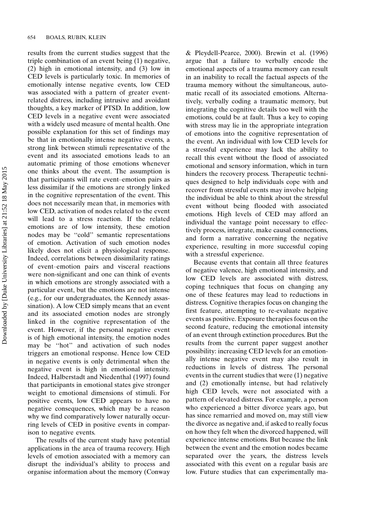results from the current studies suggest that the triple combination of an event being (1) negative, (2) high in emotional intensity, and (3) low in CED levels is particularly toxic. In memories of emotionally intense negative events, low CED was associated with a pattern of greater eventrelated distress, including intrusive and avoidant thoughts, a key marker of PTSD. In addition, low CED levels in a negative event were associated with a widely used measure of mental health. One possible explanation for this set of findings may be that in emotionally intense negative events, a strong link between stimuli representative of the event and its associated emotions leads to an automatic priming of those emotions whenever one thinks about the event. The assumption is that participants will rate event-emotion pairs as less dissimilar if the emotions are strongly linked in the cognitive representation of the event. This does not necessarily mean that, in memories with low CED, activation of nodes related to the event will lead to a stress reaction. If the related emotions are of low intensity, these emotion nodes may be ''cold'' semantic representations of emotion. Activation of such emotion nodes likely does not elicit a physiological response. Indeed, correlations between dissimilarity ratings of event-emotion pairs and visceral reactions were non-significant and one can think of events in which emotions are strongly associated with a particular event, but the emotions are not intense (e.g., for our undergraduates, the Kennedy assassination). A low CED simply means that an event and its associated emotion nodes are strongly linked in the cognitive representation of the event. However, if the personal negative event is of high emotional intensity, the emotion nodes may be ''hot'' and activation of such nodes triggers an emotional response. Hence low CED in negative events is only detrimental when the negative event is high in emotional intensity. Indeed, Halberstadt and Niedenthal (1997) found that participants in emotional states give stronger weight to emotional dimensions of stimuli. For positive events, low CED appears to have no negative consequences, which may be a reason why we find comparatively lower naturally occurring levels of CED in positive events in comparison to negative events.

The results of the current study have potential applications in the area of trauma recovery. High levels of emotion associated with a memory can disrupt the individual's ability to process and organise information about the memory (Conway & Pleydell-Pearce, 2000). Brewin et al. (1996) argue that a failure to verbally encode the emotional aspects of a trauma memory can result in an inability to recall the factual aspects of the trauma memory without the simultaneous, automatic recall of its associated emotions. Alternatively, verbally coding a traumatic memory, but integrating the cognitive details too well with the emotions, could be at fault. Thus a key to coping with stress may lie in the appropriate integration of emotions into the cognitive representation of the event. An individual with low CED levels for a stressful experience may lack the ability to recall this event without the flood of associated emotional and sensory information, which in turn hinders the recovery process. Therapeutic techniques designed to help individuals cope with and recover from stressful events may involve helping the individual be able to think about the stressful event without being flooded with associated emotions. High levels of CED may afford an individual the vantage point necessary to effectively process, integrate, make causal connections, and form a narrative concerning the negative experience, resulting in more successful coping with a stressful experience.

Because events that contain all three features of negative valence, high emotional intensity, and low CED levels are associated with distress, coping techniques that focus on changing any one of these features may lead to reductions in distress. Cognitive therapies focus on changing the first feature, attempting to re-evaluate negative events as positive. Exposure therapies focus on the second feature, reducing the emotional intensity of an event through extinction procedures. But the results from the current paper suggest another possibility: increasing CED levels for an emotionally intense negative event may also result in reductions in levels of distress. The personal events in the current studies that were (1) negative and (2) emotionally intense, but had relatively high CED levels, were not associated with a pattern of elevated distress. For example, a person who experienced a bitter divorce years ago, but has since remarried and moved on, may still view the divorce as negative and, if asked to really focus on how they felt when the divorced happened, will experience intense emotions. But because the link between the event and the emotion nodes became separated over the years, the distress levels associated with this event on a regular basis are low. Future studies that can experimentally ma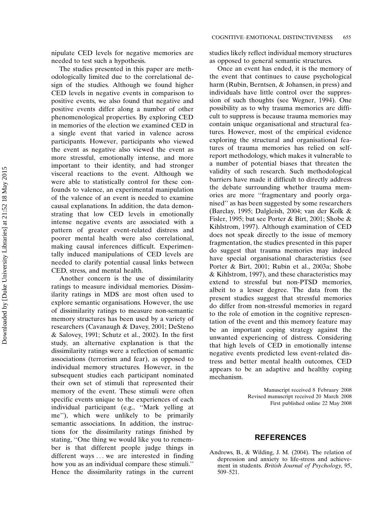nipulate CED levels for negative memories are needed to test such a hypothesis.

The studies presented in this paper are methodologically limited due to the correlational design of the studies. Although we found higher CED levels in negative events in comparison to positive events, we also found that negative and positive events differ along a number of other phenomenological properties. By exploring CED in memories of the election we examined CED in a single event that varied in valence across participants. However, participants who viewed the event as negative also viewed the event as more stressful, emotionally intense, and more important to their identity, and had stronger visceral reactions to the event. Although we were able to statistically control for these confounds to valence, an experimental manipulation of the valence of an event is needed to examine causal explanations. In addition, the data demonstrating that low CED levels in emotionally intense negative events are associated with a pattern of greater event-related distress and poorer mental health were also correlational, making causal inferences difficult. Experimentally induced manipulations of CED levels are needed to clarify potential causal links between CED, stress, and mental health.

Another concern is the use of dissimilarity ratings to measure individual memories. Dissimilarity ratings in MDS are most often used to explore semantic organisations. However, the use of dissimilarity ratings to measure non-semantic memory structures has been used by a variety of researchers (Cavanaugh & Davey, 2001; DeSteno & Salovey, 1991; Schutz et al., 2002). In the first study, an alternative explanation is that the dissimilarity ratings were a reflection of semantic associations (terrorism and fear), as opposed to individual memory structures. However, in the subsequent studies each participant nominated their own set of stimuli that represented their memory of the event. These stimuli were often specific events unique to the experiences of each individual participant (e.g., ''Mark yelling at me''), which were unlikely to be primarily semantic associations. In addition, the instructions for the dissimilarity ratings finished by stating, ''One thing we would like you to remember is that different people judge things in different ways ... we are interested in finding how you as an individual compare these stimuli.'' Hence the dissimilarity ratings in the current

studies likely reflect individual memory structures as opposed to general semantic structures.

Once an event has ended, it is the memory of the event that continues to cause psychological harm (Rubin, Berntsen, & Johansen, in press) and individuals have little control over the suppression of such thoughts (see Wegner, 1994). One possibility as to why trauma memories are difficult to suppress is because trauma memories may contain unique organisational and structural features. However, most of the empirical evidence exploring the structural and organisational features of trauma memories has relied on selfreport methodology, which makes it vulnerable to a number of potential biases that threaten the validity of such research. Such methodological barriers have made it difficult to directly address the debate surrounding whether trauma memories are more ''fragmentary and poorly organised'' as has been suggested by some researchers (Barclay, 1995; Dalgleish, 2004; van der Kolk & Fisler, 1995; but see Porter & Birt, 2001; Shobe & Kihlstrom, 1997). Although examination of CED does not speak directly to the issue of memory fragmentation, the studies presented in this paper do suggest that trauma memories may indeed have special organisational characteristics (see Porter & Birt, 2001; Rubin et al., 2003a; Shobe & Kihlstrom, 1997), and these characteristics may extend to stressful but non-PTSD memories, albeit to a lesser degree. The data from the present studies suggest that stressful memories do differ from non-stressful memories in regard to the role of emotion in the cognitive representation of the event and this memory feature may be an important coping strategy against the unwanted experiencing of distress. Considering that high levels of CED in emotionally intense negative events predicted less event-related distress and better mental health outcomes, CED appears to be an adaptive and healthy coping mechanism.

> Manuscript received 8 February 2008 Revised manuscript received 20 March 2008 First published online 22 May 2008

## REFERENCES

Andrews, B., & Wilding, J. M. (2004). The relation of depression and anxiety to life-stress and achievement in students. British Journal of Psychology, 95, 509-521.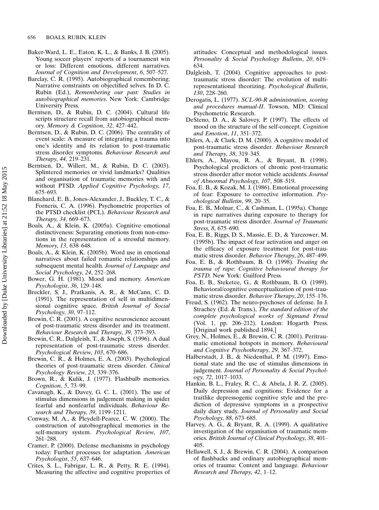- Baker-Ward, L. E., Eaton, K. L., & Banks, J. B. (2005). Young soccer players' reports of a tournament win or loss: Different emotions, different narratives. Journal of Cognition and Development, 6, 507–527.
- Barclay, C. R. (1995). Autobiographical remembering: Narrative constraints on objectified selves. In D. C. Rubin (Ed.), Remembering our past: Studies in autobiographical memories. New York: Cambridge University Press.
- Berntsen, D., & Rubin, D. C. (2004). Cultural life scripts structure recall from autobiographical memory. Memory & Cognition, 32, 427-442.
- Berntsen, D., & Rubin, D. C. (2006). The centrality of event scale: A measure of integrating a trauma into one's identity and its relation to post-traumatic stress disorder symptoms. Behaviour Research and Therapy, 44, 219-231.
- Berntsen, D., Willert, M., & Rubin, D. C. (2003). Splintered memories or vivid landmarks? Qualities and organisation of traumatic memories with and without PTSD. Applied Cognitive Psychology, 17, 675-693.
- Blanchard, E. B., Jones-Alexander, J., Buckley, T. C., & Forneris, C. A. (1996). Psychometric properties of the PTSD checklist (PCL). Behaviour Research and Therapy, 34, 669-673.
- Boals, A., & Klein, K. (2005a). Cognitive–emotional distinctiveness: Separating emotions from non-emotions in the representation of a stressful memory. Memory, 13, 638-648.
- Boals, A., & Klein, K. (2005b). Word use in emotional narratives about failed romantic relationships and subsequent mental health. Journal of Language and Social Psychology, 24, 252-268.
- Bower, G. H. (1981). Mood and memory. American Psychologist, 36, 129-148.
- Breckler, S. J., Pratkanis, A. R., & McCann, C. D. (1991). The representation of self in multidimensional cognitive space. British Journal of Social  $Psychology, 30, 97–112.$
- Brewin, C. R. (2001). A cognitive neuroscience account of post-traumatic stress disorder and its treatment. Behaviour Research and Therapy, 39, 373-393.
- Brewin, C. R., Dalgleish, T., & Joseph, S. (1996). A dual representation of post-traumatic stress disorder. Psychological Review, 103, 670-686.
- Brewin, C. R., & Holmes, E. A. (2003). Psychological theories of post-traumatic stress disorder. Clinical Psychology Review, 23, 339-376.
- Brown, R., & Kulik, J. (1977). Flashbulb memories. Cognition, 5, 73-99.
- Cavanagh, K., & Davey, G. C. L. (2001). The use of stimulus dimensions in judgement making in spider fearful and nonfearful individuals. Behaviour Research and Therapy, 39, 1199–1211.
- Conway, M. A., & Pleydell-Pearce, C. W. (2000). The construction of autobiographical memories in the self-memory system. Psychological Review, 107, 261-288.
- Cramer, P. (2000). Defense mechanisms in psychology today: Further processes for adaptation. American Psychologist, 55, 637-646.
- Crites, S. L., Fabrigar, L. R., & Petty, R. E. (1994). Measuring the affective and cognitive properties of

attitudes: Conceptual and methodological issues. Personality & Social Psychology Bulletin, 20, 619-634.

- Dalgleish, T. (2004). Cognitive approaches to posttraumatic stress disorder: The evolution of multirepresentational theorizing. Psychological Bulletin,  $130, 228 - 260.$
- Derogatis, L. (1977). SCL-90-R administration, scoring and procedures manual-II. Towson, MD: Clinical Psychometric Research.
- DeSteno, D. A., & Salovey, P. (1997). The effects of mood on the structure of the self-concept. Cognition and Emotion, 11, 351-372.
- Ehlers, A., & Clark, D. M. (2000). A cognitive model of post-traumatic stress disorder. Behaviour Research and Therapy, 38, 319-345.
- Ehlers, A., Mayou, R. A., & Bryant, B. (1998). Psychological predictors of chronic post-traumatic stress disorder after motor vehicle accidents. Journal of Abnormal Psychology, 107, 508-519.
- Foa, E. B., & Kozak, M. J. (1986). Emotional processing of fear: Exposure to corrective information. Psychological Bulletin, 99, 20-35.
- Foa, E. B., Molnar, C., & Cashman, L. (1995a). Change in rape narratives during exposure to therapy for post-traumatic stress disorder. Journal of Traumatic Stress, 8, 675-690.
- Foa, E. B., Riggs, D. S., Massie, E. D., & Yarczower, M. (1995b). The impact of fear activation and anger on the efficacy of exposure treatment for post-traumatic stress disorder. Behavior Therapy, 26, 487-499.
- Foa, E. B., & Rothbaum, B. O. (1998). Treating the trauma of rape: Cognitive behavioural therapy for PSTD. New York: Guilford Press.
- Foa, E. B., Steketee, G., & Rothbaum, B. O. (1989). Behavioral/cognitive conceptualization of post-traumatic stress disorder. Behavior Therapy, 20, 155-176.
- Freud, S. (1962). The neuro-psychoses of defense. In J. Strachey (Ed. & Trans.), The standard edition of the complete psychological works of Sigmund Freud (Vol. 1, pp.  $206-212$ ). London: Hogarth Press. [Original work published 1894.]
- Grey, N., Holmes, E., & Brewin, C. R. (2001). Peritraumatic emotional hotspots in memory. Behavioural and Cognitive Psychotherapy, 29, 367–372.
- Halberstadt, J. B., & Niedenthal, P. M. (1997). Emotional state and the use of stimulus dimensions in judgement. Journal of Personality & Social Psychol- $\log y$ , 72, 1017–1033.
- Hankin, B. L., Fraley, R. C., & Abela, J. R. Z. (2005). Daily depression and cognitions: Evidence for a traitlike depressogenic cognitive style and the prediction of depressive symptoms in a prospective daily diary study. Journal of Personality and Social Psychology, 88, 673-685.
- Harvey, A. G., & Bryant, R. A. (1999). A qualitative investigation of the organisation of traumatic memories. British Journal of Clinical Psychology, 38, 401 405.
- Hellawell, S. J., & Brewin, C. R. (2004). A comparison of flashbacks and ordinary autobiographical memories of trauma: Content and language. Behaviour Research and Therapy,  $42$ ,  $1-12$ .